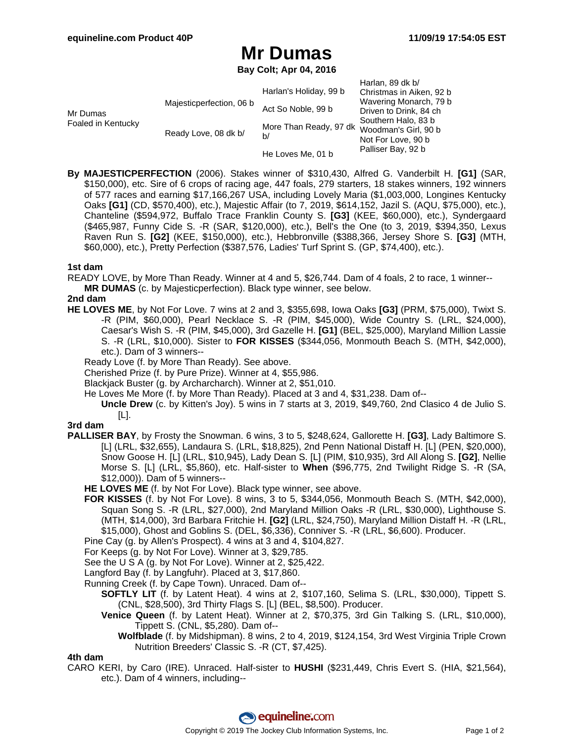$H$ arlan, 80 dk b/

## **Mr Dumas**

**Bay Colt; Apr 04, 2016**

|                                |                          |                        | Hallall, 09 UK D/        |
|--------------------------------|--------------------------|------------------------|--------------------------|
|                                |                          | Harlan's Holiday, 99 b | Christmas in Aiken, 92 b |
| Mr Dumas<br>Foaled in Kentucky | Majesticperfection, 06 b | Act So Noble, 99 b     | Wavering Monarch, 79 b   |
|                                |                          |                        | Driven to Drink, 84 ch   |
|                                | Ready Love, 08 dk b/     | More Than Ready, 97 dk | Southern Halo, 83 b      |
|                                |                          |                        | Woodman's Girl, 90 b     |
|                                |                          | b/                     | Not For Love, 90 b       |
|                                |                          | He Loves Me, 01 b      | Palliser Bay, 92 b       |

**By MAJESTICPERFECTION** (2006). Stakes winner of \$310,430, Alfred G. Vanderbilt H. **[G1]** (SAR, \$150,000), etc. Sire of 6 crops of racing age, 447 foals, 279 starters, 18 stakes winners, 192 winners of 577 races and earning \$17,166,267 USA, including Lovely Maria (\$1,003,000, Longines Kentucky Oaks **[G1]** (CD, \$570,400), etc.), Majestic Affair (to 7, 2019, \$614,152, Jazil S. (AQU, \$75,000), etc.), Chanteline (\$594,972, Buffalo Trace Franklin County S. **[G3]** (KEE, \$60,000), etc.), Syndergaard (\$465,987, Funny Cide S. -R (SAR, \$120,000), etc.), Bell's the One (to 3, 2019, \$394,350, Lexus Raven Run S. **[G2]** (KEE, \$150,000), etc.), Hebbronville (\$388,366, Jersey Shore S. **[G3]** (MTH, \$60,000), etc.), Pretty Perfection (\$387,576, Ladies' Turf Sprint S. (GP, \$74,400), etc.).

### **1st dam**

READY LOVE, by More Than Ready. Winner at 4 and 5, \$26,744. Dam of 4 foals, 2 to race, 1 winner-- **MR DUMAS** (c. by Majesticperfection). Black type winner, see below.

### **2nd dam**

**HE LOVES ME**, by Not For Love. 7 wins at 2 and 3, \$355,698, Iowa Oaks **[G3]** (PRM, \$75,000), Twixt S. -R (PIM, \$60,000), Pearl Necklace S. -R (PIM, \$45,000), Wide Country S. (LRL, \$24,000), Caesar's Wish S. -R (PIM, \$45,000), 3rd Gazelle H. **[G1]** (BEL, \$25,000), Maryland Million Lassie S. -R (LRL, \$10,000). Sister to **FOR KISSES** (\$344,056, Monmouth Beach S. (MTH, \$42,000), etc.). Dam of 3 winners--

Ready Love (f. by More Than Ready). See above.

Cherished Prize (f. by Pure Prize). Winner at 4, \$55,986.

Blackjack Buster (g. by Archarcharch). Winner at 2, \$51,010.

- He Loves Me More (f. by More Than Ready). Placed at 3 and 4, \$31,238. Dam of--
	- **Uncle Drew** (c. by Kitten's Joy). 5 wins in 7 starts at 3, 2019, \$49,760, 2nd Clasico 4 de Julio S. [L].

## **3rd dam**

- **PALLISER BAY**, by Frosty the Snowman. 6 wins, 3 to 5, \$248,624, Gallorette H. **[G3]**, Lady Baltimore S. [L] (LRL, \$32,655), Landaura S. (LRL, \$18,825), 2nd Penn National Distaff H. [L] (PEN, \$20,000), Snow Goose H. [L] (LRL, \$10,945), Lady Dean S. [L] (PIM, \$10,935), 3rd All Along S. **[G2]**, Nellie Morse S. [L] (LRL, \$5,860), etc. Half-sister to **When** (\$96,775, 2nd Twilight Ridge S. -R (SA, \$12,000)). Dam of 5 winners--
	- **HE LOVES ME** (f. by Not For Love). Black type winner, see above.
	- **FOR KISSES** (f. by Not For Love). 8 wins, 3 to 5, \$344,056, Monmouth Beach S. (MTH, \$42,000), Squan Song S. -R (LRL, \$27,000), 2nd Maryland Million Oaks -R (LRL, \$30,000), Lighthouse S. (MTH, \$14,000), 3rd Barbara Fritchie H. **[G2]** (LRL, \$24,750), Maryland Million Distaff H. -R (LRL, \$15,000), Ghost and Goblins S. (DEL, \$6,336), Conniver S. -R (LRL, \$6,600). Producer.
	- Pine Cay (g. by Allen's Prospect). 4 wins at 3 and 4, \$104,827.
	- For Keeps (g. by Not For Love). Winner at 3, \$29,785.
	- See the U S A (g. by Not For Love). Winner at 2, \$25,422.
	- Langford Bay (f. by Langfuhr). Placed at 3, \$17,860.
	- Running Creek (f. by Cape Town). Unraced. Dam of--
		- **SOFTLY LIT** (f. by Latent Heat). 4 wins at 2, \$107,160, Selima S. (LRL, \$30,000), Tippett S. (CNL, \$28,500), 3rd Thirty Flags S. [L] (BEL, \$8,500). Producer.
		- **Venice Queen** (f. by Latent Heat). Winner at 2, \$70,375, 3rd Gin Talking S. (LRL, \$10,000), Tippett S. (CNL, \$5,280). Dam of--
			- **Wolfblade** (f. by Midshipman). 8 wins, 2 to 4, 2019, \$124,154, 3rd West Virginia Triple Crown Nutrition Breeders' Classic S. -R (CT, \$7,425).

#### **4th dam**

CARO KERI, by Caro (IRE). Unraced. Half-sister to **HUSHI** (\$231,449, Chris Evert S. (HIA, \$21,564), etc.). Dam of 4 winners, including--